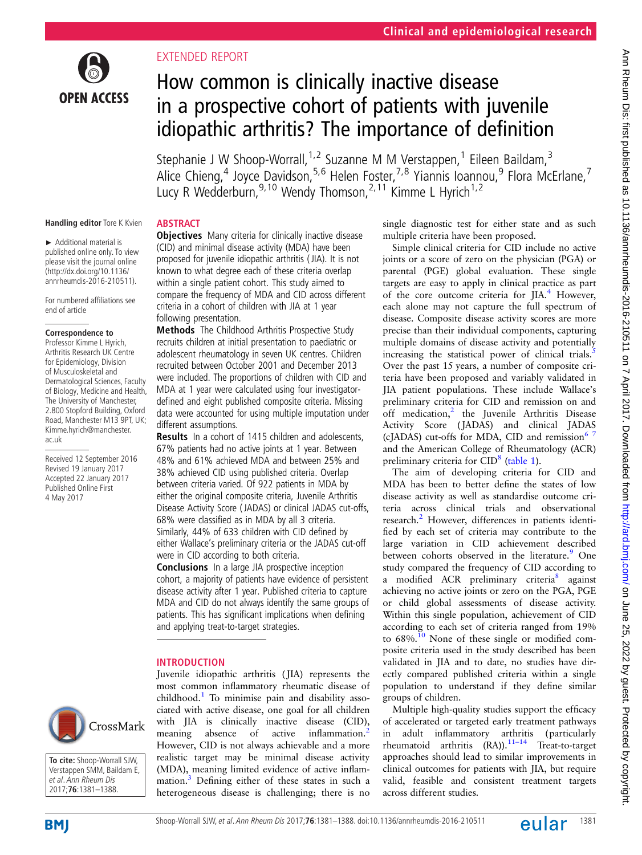

### EXTENDED REPORT

# How common is clinically inactive disease in a prospective cohort of patients with juvenile idiopathic arthritis? The importance of definition

Stephanie J W Shoop-Worrall,<sup>1,2</sup> Suzanne M M Verstappen,<sup>1</sup> Eileen Baildam,<sup>3</sup> Alice Chieng,<sup>4</sup> Joyce Davidson,<sup>5,6</sup> Helen Foster,<sup>7,8</sup> Yiannis Ioannou,<sup>9</sup> Flora McErlane,<sup>7</sup> Lucy R Wedderburn,<sup>9,10</sup> Wendy Thomson,<sup>2,11</sup> Kimme L Hyrich<sup>1,2</sup>

### **Handling editor** Tore K Kvien

► Additional material is published online only. To view please visit the journal online (http://dx.doi.org/10.1136/ annrheumdis-2016-210511).

For numbered affiliations see end of article

#### **Correspondence to**

Professor Kimme L Hyrich, Arthritis Research UK Centre for Epidemiology, Division of Musculoskeletal and Dermatological Sciences, Faculty of Biology, Medicine and Health, The University of Manchester, 2.800 Stopford Building, Oxford Road, Manchester M13 9PT, UK; Kimme.hyrich@manchester. ac.uk

Received 12 September 2016 Revised 19 January 2017 Accepted 22 January 2017 Published Online First 4 May 2017



**To cite:** Shoop-Worrall SJW, Verstappen SMM, Baildam E, et al. Ann Rheum Dis 2017;**76**:1381–1388.

### **ABSTRACT**

**Objectives** Many criteria for clinically inactive disease (CID) and minimal disease activity (MDA) have been proposed for juvenile idiopathic arthritis ( JIA). It is not known to what degree each of these criteria overlap within a single patient cohort. This study aimed to compare the frequency of MDA and CID across different criteria in a cohort of children with JIA at 1 year following presentation.

Methods The Childhood Arthritis Prospective Study recruits children at initial presentation to paediatric or adolescent rheumatology in seven UK centres. Children recruited between October 2001 and December 2013 were included. The proportions of children with CID and MDA at 1 year were calculated using four investigatordefined and eight published composite criteria. Missing data were accounted for using multiple imputation under different assumptions.

Results In a cohort of 1415 children and adolescents, 67% patients had no active joints at 1 year. Between 48% and 61% achieved MDA and between 25% and 38% achieved CID using published criteria. Overlap between criteria varied. Of 922 patients in MDA by either the original composite criteria, Juvenile Arthritis Disease Activity Score ( JADAS) or clinical JADAS cut-offs, 68% were classified as in MDA by all 3 criteria. Similarly, 44% of 633 children with CID defined by either Wallace's preliminary criteria or the JADAS cut-off were in CID according to both criteria.

Conclusions In a large JIA prospective inception cohort, a majority of patients have evidence of persistent disease activity after 1 year. Published criteria to capture MDA and CID do not always identify the same groups of patients. This has significant implications when defining and applying treat-to-target strategies.

### INTRODUCTION

Juvenile idiopathic arthritis ( JIA) represents the most common inflammatory rheumatic disease of childhood.<sup>1</sup> To minimise pain and disability associated with active disease, one goal for all children with JIA is clinically inactive disease (CID), meaning absence of active inflammation.<sup>[2](#page-7-0)</sup> However, CID is not always achievable and a more realistic target may be minimal disease activity (MDA), meaning limited evidence of active inflam-mation.<sup>[3](#page-7-0)</sup> Defining either of these states in such a heterogeneous disease is challenging; there is no

single diagnostic test for either state and as such multiple criteria have been proposed.

Simple clinical criteria for CID include no active joints or a score of zero on the physician (PGA) or parental (PGE) global evaluation. These single targets are easy to apply in clinical practice as part of the core outcome criteria for JIA.<sup>[4](#page-7-0)</sup> However, each alone may not capture the full spectrum of disease. Composite disease activity scores are more precise than their individual components, capturing multiple domains of disease activity and potentially increasing the statistical power of clinical trials. $\frac{5}{1}$  $\frac{5}{1}$  $\frac{5}{1}$ Over the past 15 years, a number of composite criteria have been proposed and variably validated in JIA patient populations. These include Wallace's preliminary criteria for CID and remission on and off medication,<sup>[2](#page-7-0)</sup> the Juvenile Arthritis Disease Activity Score ( JADAS) and clinical JADAS (cJADAS) cut-offs for MDA, CID and remission<sup>67</sup> and the American College of Rheumatology (ACR) preliminary criteria for CID<sup>[8](#page-7-0)</sup> [\(table 1](#page-1-0)).

The aim of developing criteria for CID and MDA has been to better define the states of low disease activity as well as standardise outcome criteria across clinical trials and observational research.<sup>[2](#page-7-0)</sup> However, differences in patients identified by each set of criteria may contribute to the large variation in CID achievement described between cohorts observed in the literature.<sup>[9](#page-7-0)</sup> One study compared the frequency of CID according to a modified ACR preliminary criteria<sup>8</sup> against achieving no active joints or zero on the PGA, PGE or child global assessments of disease activity. Within this single population, achievement of CID according to each set of criteria ranged from 19% to 68%.<sup>10</sup> None of these single or modified composite criteria used in the study described has been validated in JIA and to date, no studies have directly compared published criteria within a single population to understand if they define similar groups of children.

Multiple high-quality studies support the efficacy of accelerated or targeted early treatment pathways in adult inflammatory arthritis (particularly rheumatoid arthritis  $(RA)$ ).<sup>[11](#page-7-0)–14</sup> Treat-to-target approaches should lead to similar improvements in clinical outcomes for patients with JIA, but require valid, feasible and consistent treatment targets across different studies.

**BMI**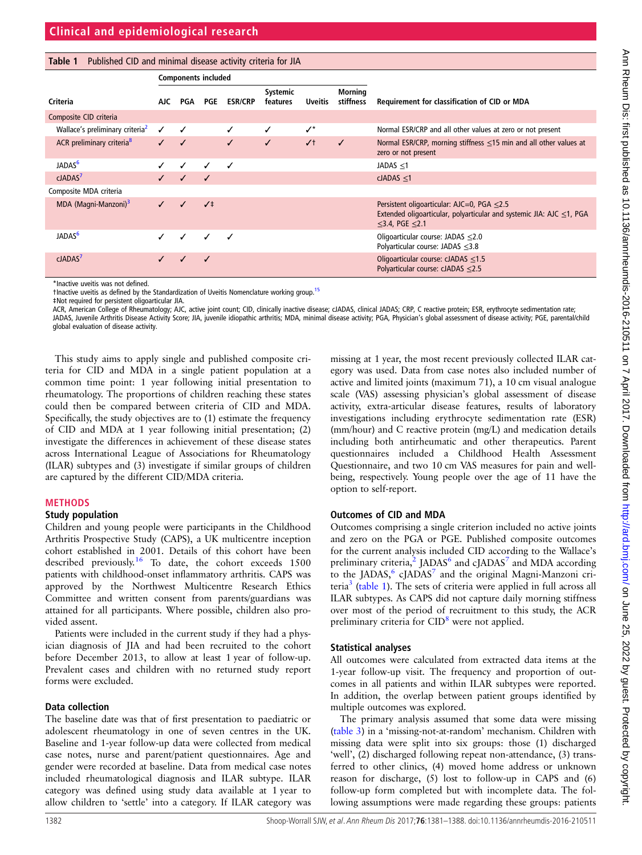<span id="page-1-0"></span>

| Table 1 Published CID and minimal disease activity criteria for JIA |  |  |
|---------------------------------------------------------------------|--|--|
|---------------------------------------------------------------------|--|--|

|                                             | <b>Components included</b> |                          |              |                |                      |                |                             |                                                                                                                                                              |  |
|---------------------------------------------|----------------------------|--------------------------|--------------|----------------|----------------------|----------------|-----------------------------|--------------------------------------------------------------------------------------------------------------------------------------------------------------|--|
| Criteria                                    | AJC.                       | PGA                      | <b>PGE</b>   | <b>ESR/CRP</b> | Systemic<br>features | <b>Uveitis</b> | <b>Morning</b><br>stiffness | Requirement for classification of CID or MDA                                                                                                                 |  |
| Composite CID criteria                      |                            |                          |              |                |                      |                |                             |                                                                                                                                                              |  |
| Wallace's preliminary criteria <sup>2</sup> | ✓                          | $\checkmark$             |              | $\checkmark$   | ✓                    | $\checkmark$   |                             | Normal ESR/CRP and all other values at zero or not present                                                                                                   |  |
| ACR preliminary criteria <sup>8</sup>       | $\checkmark$               | $\checkmark$             |              | $\checkmark$   | $\sqrt{2}$           | $\checkmark$   | $\checkmark$                | Normal ESR/CRP, morning stiffness $\leq$ 15 min and all other values at<br>zero or not present                                                               |  |
| JADAS <sup>6</sup>                          |                            | ✓                        | ✓            | ✓              |                      |                |                             | JADAS $\leq$ 1                                                                                                                                               |  |
| cJADAS <sup>7</sup>                         |                            | $\overline{\mathcal{L}}$ | $\sqrt{ }$   |                |                      |                |                             | $cJADAS \leq 1$                                                                                                                                              |  |
| Composite MDA criteria                      |                            |                          |              |                |                      |                |                             |                                                                                                                                                              |  |
| MDA (Magni-Manzoni) <sup>3</sup>            |                            |                          | $\sqrt{1}$   |                |                      |                |                             | Persistent oligoarticular: AJC=0, PGA $\leq$ 2.5<br>Extended oligoarticular, polyarticular and systemic JIA: AJC $\leq$ 1, PGA<br>$\leq$ 3.4, PGE $\leq$ 2.1 |  |
| JADAS <sup>6</sup>                          |                            | ✓                        | $\checkmark$ | ✓              |                      |                |                             | Oligoarticular course: JADAS $\leq$ 2.0<br>Polyarticular course: JADAS $\leq$ 3.8                                                                            |  |
| cJADAS <sup>7</sup>                         |                            |                          | ✓            |                |                      |                |                             | Oligoarticular course: $cJADAS \leq 1.5$<br>Polyarticular course: $cJADAS \leq 2.5$                                                                          |  |

\*Inactive uveitis was not defined.

†Inactive uveitis as defined by the Standardization of Uveitis Nomenclature working group.[15](#page-7-0)

‡Not required for persistent oligoarticular JIA.

ACR, American College of Rheumatology; AJC, active joint count; CID, clinically inactive disease; cJADAS, clinical JADAS; CRP, C reactive protein; ESR, erythrocyte sedimentation rate; JADAS, Juvenile Arthritis Disease Activity Score; JIA, juvenile idiopathic arthritis; MDA, minimal disease activity; PGA, Physician's global assessment of disease activity; PGE, parental/child global evaluation of disease activity.

This study aims to apply single and published composite criteria for CID and MDA in a single patient population at a common time point: 1 year following initial presentation to rheumatology. The proportions of children reaching these states could then be compared between criteria of CID and MDA. Specifically, the study objectives are to (1) estimate the frequency of CID and MDA at 1 year following initial presentation; (2) investigate the differences in achievement of these disease states across International League of Associations for Rheumatology (ILAR) subtypes and (3) investigate if similar groups of children are captured by the different CID/MDA criteria.

#### METHODS

#### Study population

Children and young people were participants in the Childhood Arthritis Prospective Study (CAPS), a UK multicentre inception cohort established in 2001. Details of this cohort have been described previously.<sup>[16](#page-7-0)</sup> To date, the cohort exceeds  $1500$ patients with childhood-onset inflammatory arthritis. CAPS was approved by the Northwest Multicentre Research Ethics Committee and written consent from parents/guardians was attained for all participants. Where possible, children also provided assent.

Patients were included in the current study if they had a physician diagnosis of JIA and had been recruited to the cohort before December 2013, to allow at least 1 year of follow-up. Prevalent cases and children with no returned study report forms were excluded.

#### Data collection

The baseline date was that of first presentation to paediatric or adolescent rheumatology in one of seven centres in the UK. Baseline and 1-year follow-up data were collected from medical case notes, nurse and parent/patient questionnaires. Age and gender were recorded at baseline. Data from medical case notes included rheumatological diagnosis and ILAR subtype. ILAR category was defined using study data available at 1 year to allow children to 'settle' into a category. If ILAR category was

missing at 1 year, the most recent previously collected ILAR category was used. Data from case notes also included number of active and limited joints (maximum 71), a 10 cm visual analogue scale (VAS) assessing physician's global assessment of disease activity, extra-articular disease features, results of laboratory investigations including erythrocyte sedimentation rate (ESR) (mm/hour) and C reactive protein (mg/L) and medication details including both antirheumatic and other therapeutics. Parent questionnaires included a Childhood Health Assessment Questionnaire, and two 10 cm VAS measures for pain and wellbeing, respectively. Young people over the age of 11 have the option to self-report.

### Outcomes of CID and MDA

Outcomes comprising a single criterion included no active joints and zero on the PGA or PGE. Published composite outcomes for the current analysis included CID according to the Wallace's preliminary criteria, $^{2}$  $^{2}$  $^{2}$  JADAS<sup>[6](#page-7-0)</sup> and cJADAS<sup>[7](#page-7-0)</sup> and MDA according to the JADAS, $6$  cJADAS<sup>[7](#page-7-0)</sup> and the original Magni-Manzoni cri-teria<sup>[3](#page-7-0)</sup> (table 1). The sets of criteria were applied in full across all ILAR subtypes. As CAPS did not capture daily morning stiffness over most of the period of recruitment to this study, the ACR preliminary criteria for CID<sup>[8](#page-7-0)</sup> were not applied.

#### Statistical analyses

All outcomes were calculated from extracted data items at the 1-year follow-up visit. The frequency and proportion of outcomes in all patients and within ILAR subtypes were reported. In addition, the overlap between patient groups identified by multiple outcomes was explored.

The primary analysis assumed that some data were missing ([table 3\)](#page-3-0) in a 'missing-not-at-random' mechanism. Children with missing data were split into six groups: those (1) discharged 'well', (2) discharged following repeat non-attendance, (3) transferred to other clinics, (4) moved home address or unknown reason for discharge, (5) lost to follow-up in CAPS and (6) follow-up form completed but with incomplete data. The following assumptions were made regarding these groups: patients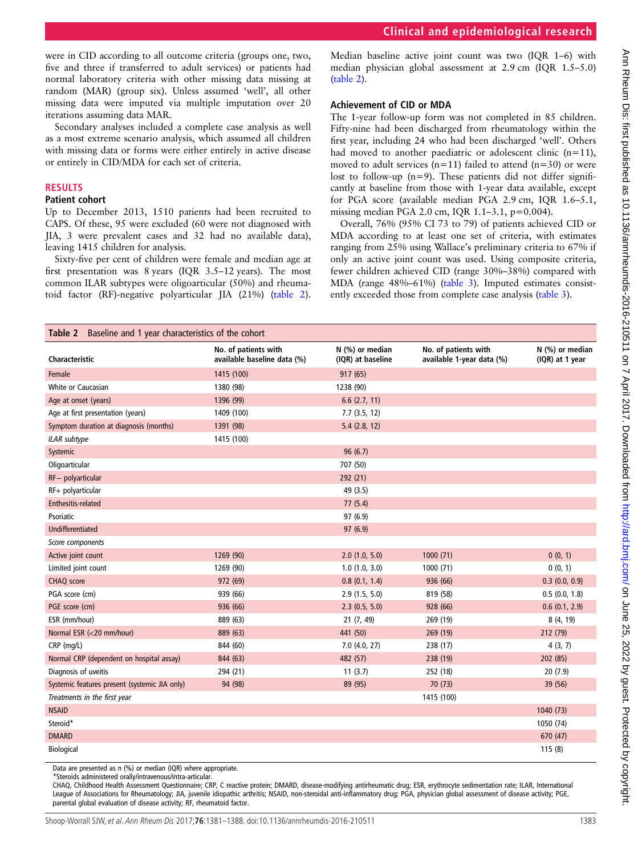Median baseline active joint count was two (IQR 1–6) with median physician global assessment at 2.9 cm (IQR 1.5–5.0) (table 2).

### Achievement of CID or MDA

The 1-year follow-up form was not completed in 85 children. Fifty-nine had been discharged from rheumatology within the first year, including 24 who had been discharged 'well'. Others had moved to another paediatric or adolescent clinic  $(n=11)$ , moved to adult services ( $n=11$ ) failed to attend ( $n=30$ ) or were lost to follow-up  $(n=9)$ . These patients did not differ significantly at baseline from those with 1-year data available, except for PGA score (available median PGA 2.9 cm, IQR 1.6–5.1, missing median PGA 2.0 cm, IQR 1.1–3.1, p=0.004).

MDA according to at least one set of criteria, with estimates ranging from 25% using Wallace's preliminary criteria to 67% if only an active joint count was used. Using composite criteria, fewer children achieved CID (range 30%–38%) compared with MDA (range 48%–61%) ([table 3](#page-3-0)). Imputed estimates consistently exceeded those from complete case analysis ([table 3\)](#page-3-0).

Secondary analyses included a complete case analysis as well as a most extreme scenario analysis, which assumed all children with missing data or forms were either entirely in active disease

Overall, 76% (95% CI 73 to 79) of patients achieved CID or

| Characteristic                                | No. of patients with<br>available baseline data (%) | $N$ (%) or median<br>(IQR) at baseline | No. of patients with<br>available 1-year data (%) | $N$ (%) or median<br>(IQR) at 1 year |
|-----------------------------------------------|-----------------------------------------------------|----------------------------------------|---------------------------------------------------|--------------------------------------|
| Female                                        | 1415 (100)                                          | 917 (65)                               |                                                   |                                      |
| White or Caucasian                            | 1380 (98)                                           | 1238 (90)                              |                                                   |                                      |
| Age at onset (years)                          | 1396 (99)                                           | 6.6(2.7, 11)                           |                                                   |                                      |
| Age at first presentation (years)             | 1409 (100)                                          | 7.7(3.5, 12)                           |                                                   |                                      |
| Symptom duration at diagnosis (months)        | 1391 (98)                                           | $5.4$ (2.8, 12)                        |                                                   |                                      |
| <b>ILAR</b> subtype                           | 1415 (100)                                          |                                        |                                                   |                                      |
| Systemic                                      |                                                     | 96(6.7)                                |                                                   |                                      |
| Oligoarticular                                |                                                     | 707 (50)                               |                                                   |                                      |
| RF- polyarticular                             |                                                     | 292 (21)                               |                                                   |                                      |
| RF+ polyarticular                             |                                                     | 49 (3.5)                               |                                                   |                                      |
| Enthesitis-related                            |                                                     | 77(5.4)                                |                                                   |                                      |
| Psoriatic                                     |                                                     | 97 (6.9)                               |                                                   |                                      |
| Undifferentiated                              |                                                     | 97(6.9)                                |                                                   |                                      |
| Score components                              |                                                     |                                        |                                                   |                                      |
| Active joint count                            | 1269 (90)                                           | 2.0(1.0, 5.0)                          | 1000(71)                                          | 0(0, 1)                              |
| Limited joint count                           | 1269 (90)                                           | $1.0$ $(1.0, 3.0)$                     | 1000 (71)                                         | 0(0, 1)                              |
| CHAQ score                                    | 972 (69)                                            | 0.8(0.1, 1.4)                          | 936 (66)                                          | $0.3$ $(0.0, 0.9)$                   |
| PGA score (cm)                                | 939 (66)                                            | 2.9(1.5, 5.0)                          | 819 (58)                                          | 0.5(0.0, 1.8)                        |
| PGE score (cm)                                | 936 (66)                                            | 2.3(0.5, 5.0)                          | 928 (66)                                          | 0.6(0.1, 2.9)                        |
| ESR (mm/hour)                                 | 889 (63)                                            | 21 (7, 49)                             | 269 (19)                                          | 8 (4, 19)                            |
| Normal ESR (<20 mm/hour)                      | 889 (63)                                            | 441 (50)                               | 269 (19)                                          | 212 (79)                             |
| CRP (mg/L)                                    | 844 (60)                                            | $7.0$ (4.0, 27)                        | 238 (17)                                          | 4(3, 7)                              |
| Normal CRP (dependent on hospital assay)      | 844 (63)                                            | 482 (57)                               | 238 (19)                                          | 202 (85)                             |
| Diagnosis of uveitis                          | 294 (21)                                            | 11(3.7)                                | 252 (18)                                          | 20(7.9)                              |
| Systemic features present (systemic JIA only) | 94 (98)                                             | 89 (95)                                | 70(73)                                            | 39 (56)                              |
| Treatments in the first year                  |                                                     |                                        | 1415 (100)                                        |                                      |
| <b>NSAID</b>                                  |                                                     |                                        |                                                   | 1040 (73)                            |
| Steroid*                                      |                                                     |                                        |                                                   | 1050 (74)                            |
| <b>DMARD</b>                                  |                                                     |                                        |                                                   | 670 (47)                             |
| Biological                                    |                                                     |                                        |                                                   | 115(8)                               |

Data are presented as n (%) or median (IQR) where appropriate. \*Steroids administered orally/intravenous/intra-articular.

were in CID according to all outcome criteria (groups one, two, five and three if transferred to adult services) or patients had normal laboratory criteria with other missing data missing at random (MAR) (group six). Unless assumed 'well', all other missing data were imputed via multiple imputation over 20

Up to December 2013, 1510 patients had been recruited to CAPS. Of these, 95 were excluded (60 were not diagnosed with JIA, 3 were prevalent cases and 32 had no available data),

Sixty-five per cent of children were female and median age at first presentation was 8 years (IQR 3.5–12 years). The most common ILAR subtypes were oligoarticular (50%) and rheumatoid factor (RF)-negative polyarticular JIA (21%) (table 2).

Table 2 Baseline and 1 year characteristics of the cohort

iterations assuming data MAR.

leaving 1415 children for analysis.

RESULTS Patient cohort

or entirely in CID/MDA for each set of criteria.

CHAQ, Childhood Health Assessment Questionnaire; CRP, C reactive protein; DMARD, disease-modifying antirheumatic drug; ESR, erythrocyte sedimentation rate; ILAR, International League of Associations for Rheumatology; JIA, juvenile idiopathic arthritis; NSAID, non-steroidal anti-inflammatory drug; PGA, physician global assessment of disease activity; PGE, parental global evaluation of disease activity; RF, rheumatoid factor.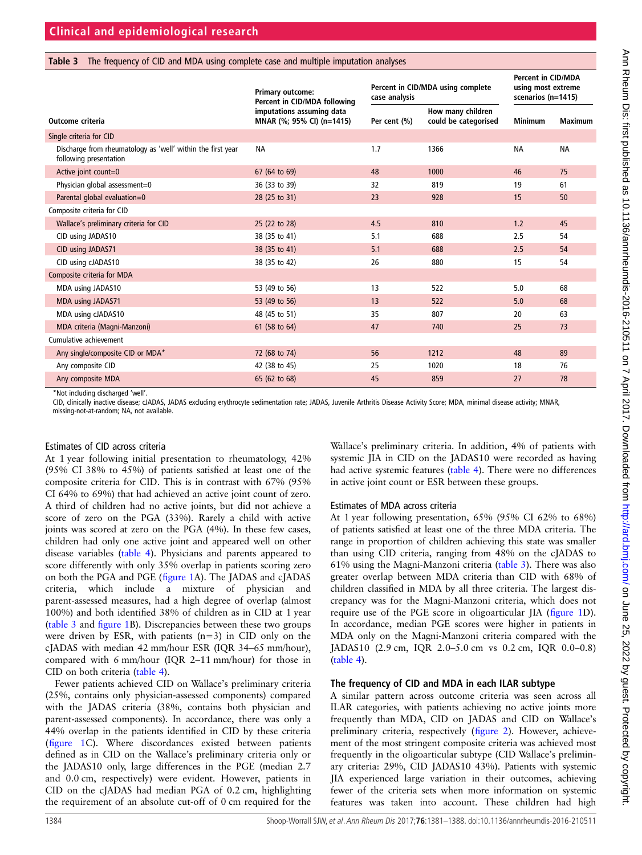### <span id="page-3-0"></span>Table 3 The frequency of CID and MDA using complete case and multiple imputation analyses

|                                                                                       | Primary outcome:<br>Percent in CID/MDA following       | case analysis | Percent in CID/MDA using complete         | <b>Percent in CID/MDA</b><br>using most extreme<br>scenarios (n=1415) |                |
|---------------------------------------------------------------------------------------|--------------------------------------------------------|---------------|-------------------------------------------|-----------------------------------------------------------------------|----------------|
| Outcome criteria                                                                      | imputations assuming data<br>MNAR (%; 95% CI) (n=1415) | Per cent (%)  | How many children<br>could be categorised | <b>Minimum</b>                                                        | <b>Maximum</b> |
| Single criteria for CID                                                               |                                                        |               |                                           |                                                                       |                |
| Discharge from rheumatology as 'well' within the first year<br>following presentation | <b>NA</b>                                              | 1.7           | 1366                                      | <b>NA</b>                                                             | <b>NA</b>      |
| Active joint count=0                                                                  | 67 (64 to 69)                                          | 48            | 1000                                      | 46                                                                    | 75             |
| Physician global assessment=0                                                         | 36 (33 to 39)                                          | 32            | 819                                       | 19                                                                    | 61             |
| Parental global evaluation=0                                                          | 28 (25 to 31)                                          | 23            | 928                                       | 15                                                                    | 50             |
| Composite criteria for CID                                                            |                                                        |               |                                           |                                                                       |                |
| Wallace's preliminary criteria for CID                                                | 25 (22 to 28)                                          | 4.5           | 810                                       | 1.2                                                                   | 45             |
| CID using JADAS10                                                                     | 38 (35 to 41)                                          | 5.1           | 688                                       | 2.5                                                                   | 54             |
| CID using JADAS71                                                                     | 38 (35 to 41)                                          | 5.1           | 688                                       | 2.5                                                                   | 54             |
| CID using cJADAS10                                                                    | 38 (35 to 42)                                          | 26            | 880                                       | 15                                                                    | 54             |
| Composite criteria for MDA                                                            |                                                        |               |                                           |                                                                       |                |
| MDA using JADAS10                                                                     | 53 (49 to 56)                                          | 13            | 522                                       | 5.0                                                                   | 68             |
| MDA using JADAS71                                                                     | 53 (49 to 56)                                          | 13            | 522                                       | 5.0                                                                   | 68             |
| MDA using cJADAS10                                                                    | 48 (45 to 51)                                          | 35            | 807                                       | 20                                                                    | 63             |
| MDA criteria (Magni-Manzoni)                                                          | 61 (58 to 64)                                          | 47            | 740                                       | 25                                                                    | 73             |
| Cumulative achievement                                                                |                                                        |               |                                           |                                                                       |                |
| Any single/composite CID or MDA*                                                      | 72 (68 to 74)                                          | 56            | 1212                                      | 48                                                                    | 89             |
| Any composite CID                                                                     | 42 (38 to 45)                                          | 25            | 1020                                      | 18                                                                    | 76             |
| Any composite MDA                                                                     | 65 (62 to 68)                                          | 45            | 859                                       | 27                                                                    | 78             |

\*Not including discharged 'well'.

CID, clinically inactive disease; cJADAS, JADAS excluding erythrocyte sedimentation rate; JADAS, Juvenile Arthritis Disease Activity Score; MDA, minimal disease activity; MNAR, missing-not-at-random; NA, not available.

### Estimates of CID across criteria

At 1 year following initial presentation to rheumatology, 42% (95% CI 38% to 45%) of patients satisfied at least one of the composite criteria for CID. This is in contrast with 67% (95% CI 64% to 69%) that had achieved an active joint count of zero. A third of children had no active joints, but did not achieve a score of zero on the PGA (33%). Rarely a child with active joints was scored at zero on the PGA (4%). In these few cases, children had only one active joint and appeared well on other disease variables ([table 4\)](#page-4-0). Physicians and parents appeared to score differently with only 35% overlap in patients scoring zero on both the PGA and PGE (fi[gure 1](#page-5-0)A). The JADAS and cJADAS criteria, which include a mixture of physician and parent-assessed measures, had a high degree of overlap (almost 100%) and both identified 38% of children as in CID at 1 year (table 3 and fi[gure 1](#page-5-0)B). Discrepancies between these two groups were driven by ESR, with patients  $(n=3)$  in CID only on the cJADAS with median 42 mm/hour ESR (IQR 34–65 mm/hour), compared with 6 mm/hour (IQR 2–11 mm/hour) for those in CID on both criteria [\(table 4](#page-4-0)).

Fewer patients achieved CID on Wallace's preliminary criteria (25%, contains only physician-assessed components) compared with the JADAS criteria (38%, contains both physician and parent-assessed components). In accordance, there was only a 44% overlap in the patients identified in CID by these criteria (fi[gure 1](#page-5-0)C). Where discordances existed between patients defined as in CID on the Wallace's preliminary criteria only or the JADAS10 only, large differences in the PGE (median 2.7 and 0.0 cm, respectively) were evident. However, patients in CID on the cJADAS had median PGA of 0.2 cm, highlighting the requirement of an absolute cut-off of 0 cm required for the

Wallace's preliminary criteria. In addition, 4% of patients with systemic JIA in CID on the JADAS10 were recorded as having had active systemic features ([table 4](#page-4-0)). There were no differences in active joint count or ESR between these groups.

### Estimates of MDA across criteria

At 1 year following presentation, 65% (95% CI 62% to 68%) of patients satisfied at least one of the three MDA criteria. The range in proportion of children achieving this state was smaller than using CID criteria, ranging from 48% on the cJADAS to 61% using the Magni-Manzoni criteria (table 3). There was also greater overlap between MDA criteria than CID with 68% of children classified in MDA by all three criteria. The largest discrepancy was for the Magni-Manzoni criteria, which does not require use of the PGE score in oligoarticular JIA (fi[gure 1](#page-5-0)D). In accordance, median PGE scores were higher in patients in MDA only on the Magni-Manzoni criteria compared with the JADAS10 (2.9 cm, IQR 2.0–5.0 cm vs 0.2 cm, IQR 0.0–0.8) ([table 4](#page-4-0)).

### The frequency of CID and MDA in each ILAR subtype

A similar pattern across outcome criteria was seen across all ILAR categories, with patients achieving no active joints more frequently than MDA, CID on JADAS and CID on Wallace's preliminary criteria, respectively (fi[gure 2\)](#page-6-0). However, achievement of the most stringent composite criteria was achieved most frequently in the oligoarticular subtype (CID Wallace's preliminary criteria: 29%, CID JADAS10 43%). Patients with systemic JIA experienced large variation in their outcomes, achieving fewer of the criteria sets when more information on systemic features was taken into account. These children had high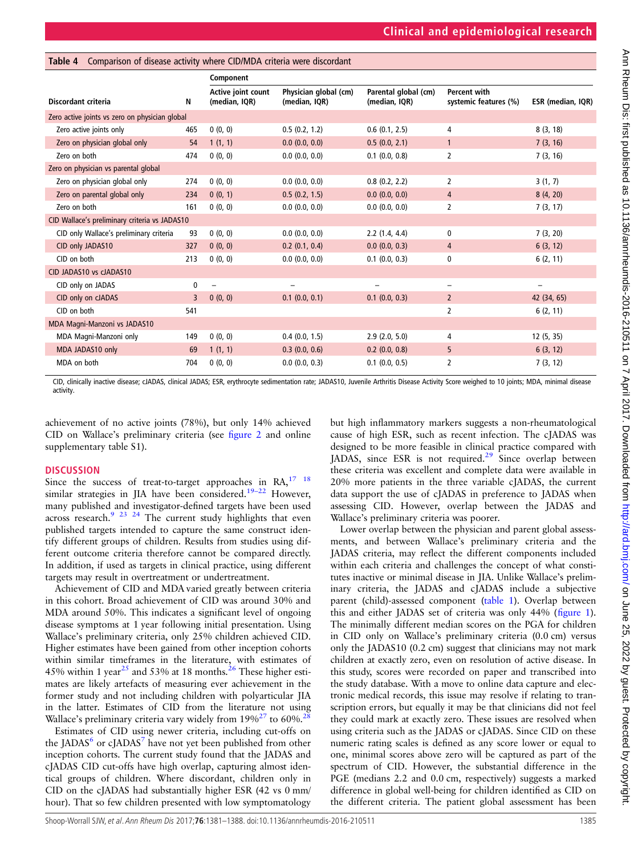|                                                |     | Component                           |                                        |                                       |                                              |                          |  |
|------------------------------------------------|-----|-------------------------------------|----------------------------------------|---------------------------------------|----------------------------------------------|--------------------------|--|
| Discordant criteria                            | Ν   | Active joint count<br>(median, IQR) | Physician global (cm)<br>(median, IQR) | Parental global (cm)<br>(median, IQR) | <b>Percent with</b><br>systemic features (%) | ESR (median, IQR)        |  |
| Zero active joints vs zero on physician global |     |                                     |                                        |                                       |                                              |                          |  |
| Zero active joints only                        | 465 | 0(0, 0)                             | 0.5(0.2, 1.2)                          | 0.6(0.1, 2.5)                         | 4                                            | 8(3, 18)                 |  |
| Zero on physician global only                  | 54  | 1(1, 1)                             | $0.0$ $(0.0, 0.0)$                     | 0.5(0.0, 2.1)                         | $\mathbf{1}$                                 | 7(3, 16)                 |  |
| Zero on both                                   | 474 | 0(0, 0)                             | 0.0(0.0, 0.0)                          | $0.1$ $(0.0, 0.8)$                    | 2                                            | 7(3, 16)                 |  |
| Zero on physician vs parental global           |     |                                     |                                        |                                       |                                              |                          |  |
| Zero on physician global only                  | 274 | 0(0, 0)                             | $0.0$ $(0.0, 0.0)$                     | 0.8(0.2, 2.2)                         | 2                                            | 3(1, 7)                  |  |
| Zero on parental global only                   | 234 | 0(0, 1)                             | 0.5(0.2, 1.5)                          | $0.0$ $(0.0, 0.0)$                    | 4                                            | 8(4, 20)                 |  |
| Zero on both                                   | 161 | 0(0, 0)                             | 0.0(0.0, 0.0)                          | 0.0(0.0, 0.0)                         | 2                                            | 7(3, 17)                 |  |
| CID Wallace's preliminary criteria vs JADAS10  |     |                                     |                                        |                                       |                                              |                          |  |
| CID only Wallace's preliminary criteria        | 93  | 0(0, 0)                             | $0.0$ $(0.0, 0.0)$                     | 2.2(1.4, 4.4)                         | 0                                            | 7(3, 20)                 |  |
| CID only JADAS10                               | 327 | 0(0, 0)                             | $0.2$ (0.1, 0.4)                       | $0.0$ $(0.0, 0.3)$                    | 4                                            | 6(3, 12)                 |  |
| CID on both                                    | 213 | 0(0, 0)                             | 0.0(0.0, 0.0)                          | $0.1$ $(0.0, 0.3)$                    | 0                                            | 6(2, 11)                 |  |
| CID JADAS10 vs cJADAS10                        |     |                                     |                                        |                                       |                                              |                          |  |
| CID only on JADAS                              | 0   | $\overline{\phantom{0}}$            | $\overline{\phantom{0}}$               | $\overline{\phantom{0}}$              | -                                            | $\overline{\phantom{0}}$ |  |
| CID only on cJADAS                             | 3   | 0(0, 0)                             | $0.1$ $(0.0, 0.1)$                     | $0.1$ (0.0, 0.3)                      | $\overline{2}$                               | 42 (34, 65)              |  |
| CID on both                                    | 541 |                                     |                                        |                                       | $\overline{2}$                               | 6(2, 11)                 |  |
| MDA Magni-Manzoni vs JADAS10                   |     |                                     |                                        |                                       |                                              |                          |  |
| MDA Magni-Manzoni only                         | 149 | 0(0, 0)                             | $0.4$ (0.0, 1.5)                       | 2.9(2.0, 5.0)                         | 4                                            | 12 (5, 35)               |  |
| MDA JADAS10 only                               | 69  | 1(1, 1)                             | $0.3$ (0.0, 0.6)                       | $0.2$ (0.0, 0.8)                      | 5                                            | 6(3, 12)                 |  |
| MDA on both                                    | 704 | 0(0, 0)                             | $0.0$ $(0.0, 0.3)$                     | $0.1$ (0.0, 0.5)                      | 2                                            | 7(3, 12)                 |  |

CID, clinically inactive disease; cJADAS, clinical JADAS; ESR, erythrocyte sedimentation rate; JADAS10, Juvenile Arthritis Disease Activity Score weighed to 10 joints; MDA, minimal disease activity.

achievement of no active joints (78%), but only 14% achieved CID on Wallace's preliminary criteria (see fi[gure 2](#page-6-0) and online [supplementary table S1](http://dx.doi.org/10.1136/annrheumdis-2016-210511)).

<span id="page-4-0"></span>Table 4 Comparison of disease activity where CID/MDA criteria were discordant

### **DISCUSSION**

Since the success of treat-to-target approaches in  $RA$ ,  $^{17}$   $^{18}$ similar strategies in JIA have been considered.<sup>[19](#page-7-0)-22</sup> However, many published and investigator-defined targets have been used across research.<sup>[9 23 24](#page-7-0)</sup> The current study highlights that even published targets intended to capture the same construct identify different groups of children. Results from studies using different outcome criteria therefore cannot be compared directly. In addition, if used as targets in clinical practice, using different targets may result in overtreatment or undertreatment.

Achievement of CID and MDA varied greatly between criteria in this cohort. Broad achievement of CID was around 30% and MDA around 50%. This indicates a significant level of ongoing disease symptoms at 1 year following initial presentation. Using Wallace's preliminary criteria, only 25% children achieved CID. Higher estimates have been gained from other inception cohorts within similar timeframes in the literature, with estimates of 45% within 1 year<sup>[25](#page-7-0)</sup> and 53% at 18 months.<sup>[26](#page-7-0)</sup> These higher estimates are likely artefacts of measuring ever achievement in the former study and not including children with polyarticular JIA in the latter. Estimates of CID from the literature not using Wallace's preliminary criteria vary widely from  $19\%^{27}$  $19\%^{27}$  $19\%^{27}$  to 60%.<sup>28</sup>

Estimates of CID using newer criteria, including cut-offs on the JADAS $^{\circ}$  or cJADAS $^{\prime}$  have not yet been published from other inception cohorts. The current study found that the JADAS and cJADAS CID cut-offs have high overlap, capturing almost identical groups of children. Where discordant, children only in CID on the cJADAS had substantially higher ESR (42 vs 0 mm/ hour). That so few children presented with low symptomatology

but high inflammatory markers suggests a non-rheumatological cause of high ESR, such as recent infection. The cJADAS was designed to be more feasible in clinical practice compared with JADAS, since ESR is not required.<sup>[29](#page-7-0)</sup> Since overlap between these criteria was excellent and complete data were available in 20% more patients in the three variable cJADAS, the current data support the use of cJADAS in preference to JADAS when assessing CID. However, overlap between the JADAS and Wallace's preliminary criteria was poorer.

Lower overlap between the physician and parent global assessments, and between Wallace's preliminary criteria and the JADAS criteria, may reflect the different components included within each criteria and challenges the concept of what constitutes inactive or minimal disease in JIA. Unlike Wallace's preliminary criteria, the JADAS and cJADAS include a subjective parent (child)-assessed component [\(table 1\)](#page-1-0). Overlap between this and either JADAS set of criteria was only 44% (fi[gure 1\)](#page-5-0). The minimally different median scores on the PGA for children in CID only on Wallace's preliminary criteria (0.0 cm) versus only the JADAS10 (0.2 cm) suggest that clinicians may not mark children at exactly zero, even on resolution of active disease. In this study, scores were recorded on paper and transcribed into the study database. With a move to online data capture and electronic medical records, this issue may resolve if relating to transcription errors, but equally it may be that clinicians did not feel they could mark at exactly zero. These issues are resolved when using criteria such as the JADAS or cJADAS. Since CID on these numeric rating scales is defined as any score lower or equal to one, minimal scores above zero will be captured as part of the spectrum of CID. However, the substantial difference in the PGE (medians 2.2 and 0.0 cm, respectively) suggests a marked difference in global well-being for children identified as CID on the different criteria. The patient global assessment has been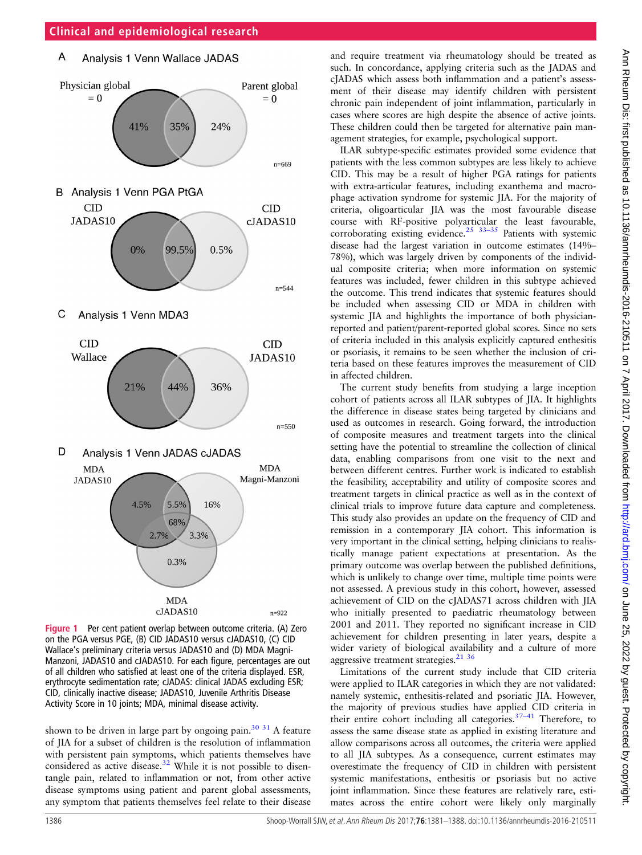#### <span id="page-5-0"></span> $\overline{A}$ Analysis 1 Venn Wallace JADAS



Figure 1 Per cent patient overlap between outcome criteria. (A) Zero on the PGA versus PGE, (B) CID JADAS10 versus cJADAS10, (C) CID Wallace's preliminary criteria versus JADAS10 and (D) MDA Magni-Manzoni, JADAS10 and cJADAS10. For each figure, percentages are out of all children who satisfied at least one of the criteria displayed. ESR, erythrocyte sedimentation rate; cJADAS: clinical JADAS excluding ESR; CID, clinically inactive disease; JADAS10, Juvenile Arthritis Disease Activity Score in 10 joints; MDA, minimal disease activity.

shown to be driven in large part by ongoing pain.<sup>30</sup> <sup>31</sup> A feature of JIA for a subset of children is the resolution of inflammation with persistent pain symptoms, which patients themselves have considered as active disease.<sup>[32](#page-7-0)</sup> While it is not possible to disentangle pain, related to inflammation or not, from other active disease symptoms using patient and parent global assessments, any symptom that patients themselves feel relate to their disease

and require treatment via rheumatology should be treated as such. In concordance, applying criteria such as the JADAS and cJADAS which assess both inflammation and a patient's assessment of their disease may identify children with persistent chronic pain independent of joint inflammation, particularly in cases where scores are high despite the absence of active joints. These children could then be targeted for alternative pain management strategies, for example, psychological support.

ILAR subtype-specific estimates provided some evidence that patients with the less common subtypes are less likely to achieve CID. This may be a result of higher PGA ratings for patients with extra-articular features, including exanthema and macrophage activation syndrome for systemic JIA. For the majority of criteria, oligoarticular JIA was the most favourable disease course with RF-positive polyarticular the least favourable, corroborating existing evidence.<sup>25</sup>  $33-35$  Patients with systemic disease had the largest variation in outcome estimates (14%– 78%), which was largely driven by components of the individual composite criteria; when more information on systemic features was included, fewer children in this subtype achieved the outcome. This trend indicates that systemic features should be included when assessing CID or MDA in children with systemic JIA and highlights the importance of both physicianreported and patient/parent-reported global scores. Since no sets of criteria included in this analysis explicitly captured enthesitis or psoriasis, it remains to be seen whether the inclusion of criteria based on these features improves the measurement of CID in affected children.

The current study benefits from studying a large inception cohort of patients across all ILAR subtypes of JIA. It highlights the difference in disease states being targeted by clinicians and used as outcomes in research. Going forward, the introduction of composite measures and treatment targets into the clinical setting have the potential to streamline the collection of clinical data, enabling comparisons from one visit to the next and between different centres. Further work is indicated to establish the feasibility, acceptability and utility of composite scores and treatment targets in clinical practice as well as in the context of clinical trials to improve future data capture and completeness. This study also provides an update on the frequency of CID and remission in a contemporary JIA cohort. This information is very important in the clinical setting, helping clinicians to realistically manage patient expectations at presentation. As the primary outcome was overlap between the published definitions, which is unlikely to change over time, multiple time points were not assessed. A previous study in this cohort, however, assessed achievement of CID on the cJADAS71 across children with JIA who initially presented to paediatric rheumatology between 2001 and 2011. They reported no significant increase in CID achievement for children presenting in later years, despite a wider variety of biological availability and a culture of more aggressive treatment strategies. $21^{36}$ 

Limitations of the current study include that CID criteria were applied to ILAR categories in which they are not validated: namely systemic, enthesitis-related and psoriatic JIA. However, the majority of previous studies have applied CID criteria in their entire cohort including all categories. $37-41$  $37-41$  Therefore, to assess the same disease state as applied in existing literature and allow comparisons across all outcomes, the criteria were applied to all JIA subtypes. As a consequence, current estimates may overestimate the frequency of CID in children with persistent systemic manifestations, enthesitis or psoriasis but no active joint inflammation. Since these features are relatively rare, estimates across the entire cohort were likely only marginally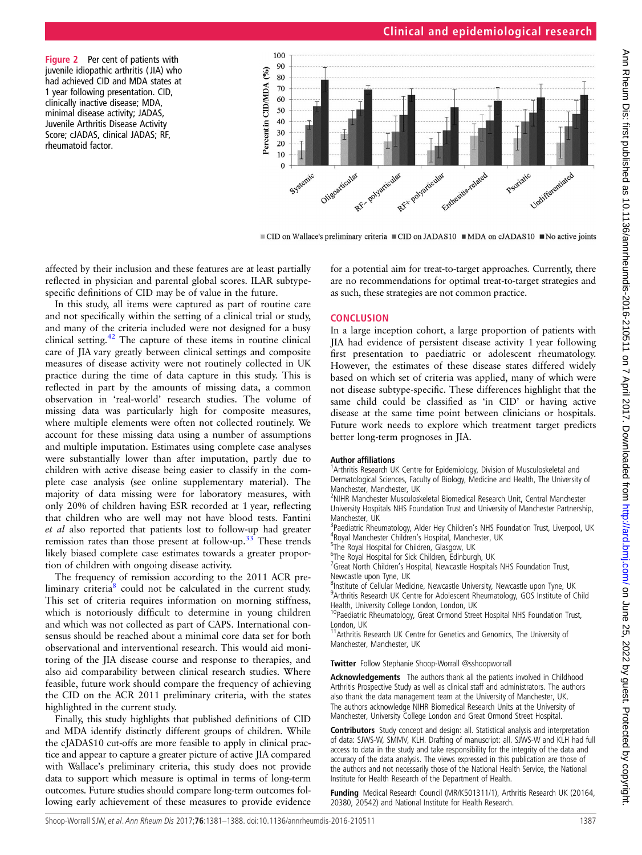## **Clinical and epidemiological research**

<span id="page-6-0"></span>Figure 2 Per cent of patients with juvenile idiopathic arthritis ( JIA) who had achieved CID and MDA states at 1 year following presentation. CID, clinically inactive disease; MDA, minimal disease activity; JADAS, Juvenile Arthritis Disease Activity Score; cJADAS, clinical JADAS; RF, rheumatoid factor.



■ CID on Wallace's preliminary criteria ■ CID on JADAS10 ■ MDA on cJADAS10 ■ No active joints

affected by their inclusion and these features are at least partially reflected in physician and parental global scores. ILAR subtypespecific definitions of CID may be of value in the future.

In this study, all items were captured as part of routine care and not specifically within the setting of a clinical trial or study, and many of the criteria included were not designed for a busy clinical setting. $42$  The capture of these items in routine clinical care of JIA vary greatly between clinical settings and composite measures of disease activity were not routinely collected in UK practice during the time of data capture in this study. This is reflected in part by the amounts of missing data, a common observation in 'real-world' research studies. The volume of missing data was particularly high for composite measures, where multiple elements were often not collected routinely. We account for these missing data using a number of assumptions and multiple imputation. Estimates using complete case analyses were substantially lower than after imputation, partly due to children with active disease being easier to classify in the complete case analysis (see online [supplementary material](http://dx.doi.org/10.1136/annrheumdis-2016-210511)). The majority of data missing were for laboratory measures, with only 20% of children having ESR recorded at 1 year, reflecting that children who are well may not have blood tests. Fantini et al also reported that patients lost to follow-up had greater remission rates than those present at follow-up[.33](#page-7-0) These trends likely biased complete case estimates towards a greater proportion of children with ongoing disease activity.

The frequency of remission according to the 2011 ACR preliminary criteria $8$  could not be calculated in the current study. This set of criteria requires information on morning stiffness, which is notoriously difficult to determine in young children and which was not collected as part of CAPS. International consensus should be reached about a minimal core data set for both observational and interventional research. This would aid monitoring of the JIA disease course and response to therapies, and also aid comparability between clinical research studies. Where feasible, future work should compare the frequency of achieving the CID on the ACR 2011 preliminary criteria, with the states highlighted in the current study.

Finally, this study highlights that published definitions of CID and MDA identify distinctly different groups of children. While the cJADAS10 cut-offs are more feasible to apply in clinical practice and appear to capture a greater picture of active JIA compared with Wallace's preliminary criteria, this study does not provide data to support which measure is optimal in terms of long-term outcomes. Future studies should compare long-term outcomes following early achievement of these measures to provide evidence

for a potential aim for treat-to-target approaches. Currently, there are no recommendations for optimal treat-to-target strategies and as such, these strategies are not common practice.

### **CONCLUSION**

In a large inception cohort, a large proportion of patients with JIA had evidence of persistent disease activity 1 year following first presentation to paediatric or adolescent rheumatology. However, the estimates of these disease states differed widely based on which set of criteria was applied, many of which were not disease subtype-specific. These differences highlight that the same child could be classified as 'in CID' or having active disease at the same time point between clinicians or hospitals. Future work needs to explore which treatment target predicts better long-term prognoses in JIA.

### Author affiliations <sup>1</sup>

<sup>1</sup> Arthritis Research UK Centre for Epidemiology, Division of Musculoskeletal and Dermatological Sciences, Faculty of Biology, Medicine and Health, The University of Manchester, Manchester, UK

<sup>2</sup>NIHR Manchester Musculoskeletal Biomedical Research Unit, Central Manchester University Hospitals NHS Foundation Trust and University of Manchester Partnership, Manchester, UK

<sup>3</sup> Paediatric Rheumatology, Alder Hey Children's NHS Foundation Trust, Liverpool, UK<br><sup>4</sup> Royal Manchester Children's Hospital Manchester, UK <sup>4</sup>Royal Manchester Children's Hospital, Manchester, UK

<sup>5</sup>The Royal Hospital for Children, Glasgow, UK

<sup>6</sup>The Royal Hospital for Sick Children, Edinburgh, UK

<sup>7</sup>Great North Children's Hospital, Newcastle Hospitals NHS Foundation Trust, Newcastle upon Tyne, UK

<sup>8</sup>Institute of Cellular Medicine, Newcastle University, Newcastle upon Tyne, UK <sup>9</sup> Arthritis Research UK Centre for Adolescent Rheumatology, GOS Institute of Child Health, University College London, London, UK

<sup>10</sup>Paediatric Rheumatology, Great Ormond Street Hospital NHS Foundation Trust, London, UK

<sup>11</sup>Arthritis Research UK Centre for Genetics and Genomics, The University of Manchester, Manchester, UK

#### Twitter Follow Stephanie Shoop-Worrall [@sshoopworrall](http://twitter.com/sshoopworrall)

Acknowledgements The authors thank all the patients involved in Childhood Arthritis Prospective Study as well as clinical staff and administrators. The authors also thank the data management team at the University of Manchester, UK. The authors acknowledge NIHR Biomedical Research Units at the University of Manchester, University College London and Great Ormond Street Hospital.

Contributors Study concept and design: all. Statistical analysis and interpretation of data: SJWS-W, SMMV, KLH. Drafting of manuscript: all. SJWS-W and KLH had full access to data in the study and take responsibility for the integrity of the data and accuracy of the data analysis. The views expressed in this publication are those of the authors and not necessarily those of the National Health Service, the National Institute for Health Research of the Department of Health.

Funding Medical Research Council (MR/K501311/1), Arthritis Research UK (20164, 20380, 20542) and National Institute for Health Research.